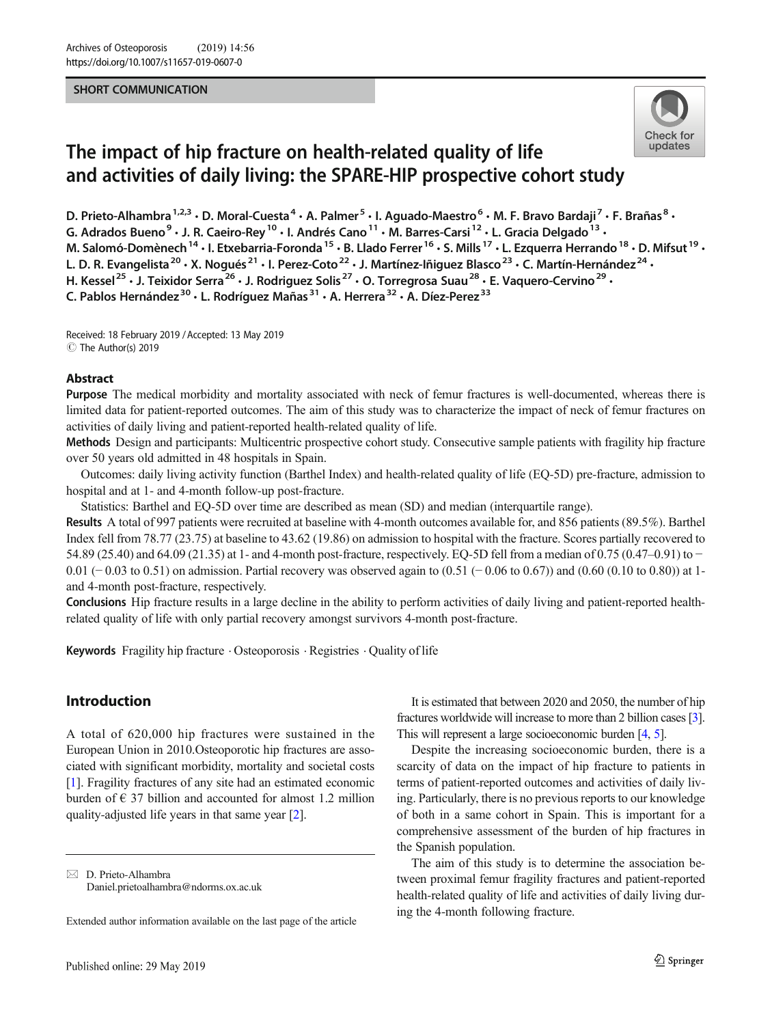#### SHORT COMMUNICATION



# The impact of hip fracture on health-related quality of life and activities of daily living: the SPARE-HIP prospective cohort study

D. Prieto-Alhambra<sup>1,2,3</sup> · D. Moral-Cuesta<sup>4</sup> · A. Palmer<sup>5</sup> · I. Aguado-Maestro<sup>6</sup> · M. F. Bravo Bardaji<sup>7</sup> · F. Brañas<sup>8</sup> · G. Adrados Bueno<sup>9</sup> • J. R. Caeiro-Rey<sup>10</sup> • I. Andrés Cano<sup>11</sup> • M. Barres-Carsi<sup>12</sup> • L. Gracia Delgado<sup>13</sup> • M. Salomó-Domènech<sup>14</sup> · I. Etxebarria-Foronda<sup>15</sup> · B. Llado Ferrer<sup>16</sup> · S. Mills<sup>17</sup> · L. Ezquerra Herrando<sup>18</sup> · D. Mifsut<sup>19</sup> · L. D. R. Evangelista<sup>20</sup> · X. Nogués<sup>21</sup> · I. Perez-Coto<sup>22</sup> · J. Martínez-Iñiguez Blasco<sup>23</sup> · C. Martín-Hernández<sup>24</sup> · H. Kessel<sup>25</sup> • J. Teixidor Serra<sup>26</sup> • J. Rodriguez Solis<sup>27</sup> • O. Torregrosa Suau<sup>28</sup> • E. Vaquero-Cervino<sup>29</sup> • C. Pablos Hernández<sup>30</sup> · L. Rodríguez Mañas<sup>31</sup> · A. Herrera<sup>32</sup> · A. Díez-Perez<sup>33</sup>

Received: 18 February 2019 /Accepted: 13 May 2019 C The Author(s) 2019

#### Abstract

Purpose The medical morbidity and mortality associated with neck of femur fractures is well-documented, whereas there is limited data for patient-reported outcomes. The aim of this study was to characterize the impact of neck of femur fractures on activities of daily living and patient-reported health-related quality of life.

Methods Design and participants: Multicentric prospective cohort study. Consecutive sample patients with fragility hip fracture over 50 years old admitted in 48 hospitals in Spain.

Outcomes: daily living activity function (Barthel Index) and health-related quality of life (EQ-5D) pre-fracture, admission to hospital and at 1- and 4-month follow-up post-fracture.

Statistics: Barthel and EQ-5D over time are described as mean (SD) and median (interquartile range).

Results A total of 997 patients were recruited at baseline with 4-month outcomes available for, and 856 patients (89.5%). Barthel Index fell from 78.77 (23.75) at baseline to 43.62 (19.86) on admission to hospital with the fracture. Scores partially recovered to 54.89 (25.40) and 64.09 (21.35) at 1- and 4-month post-fracture, respectively. EQ-5D fell from a median of 0.75 (0.47–0.91) to − 0.01 (− 0.03 to 0.51) on admission. Partial recovery was observed again to (0.51 (− 0.06 to 0.67)) and (0.60 (0.10 to 0.80)) at 1 and 4-month post-fracture, respectively.

Conclusions Hip fracture results in a large decline in the ability to perform activities of daily living and patient-reported healthrelated quality of life with only partial recovery amongst survivors 4-month post-fracture.

Keywords Fragility hip fracture . Osteoporosis . Registries . Quality of life

# Introduction

A total of 620,000 hip fractures were sustained in the European Union in 2010.Osteoporotic hip fractures are associated with significant morbidity, mortality and societal costs [\[1](#page-2-0)]. Fragility fractures of any site had an estimated economic burden of  $\epsilon$  37 billion and accounted for almost 1.2 million quality-adjusted life years in that same year [\[2](#page-2-0)].

It is estimated that between 2020 and 2050, the number of hip fractures worldwide will increase to more than 2 billion cases [\[3\]](#page-2-0). This will represent a large socioeconomic burden [\[4,](#page-2-0) [5](#page-2-0)].

Despite the increasing socioeconomic burden, there is a scarcity of data on the impact of hip fracture to patients in terms of patient-reported outcomes and activities of daily living. Particularly, there is no previous reports to our knowledge of both in a same cohort in Spain. This is important for a comprehensive assessment of the burden of hip fractures in the Spanish population.

The aim of this study is to determine the association between proximal femur fragility fractures and patient-reported health-related quality of life and activities of daily living during the 4-month following fracture.

 $\boxtimes$  D. Prieto-Alhambra [Daniel.prietoalhambra@ndorms.ox.ac.uk](mailto:Daniel.prietoalhambra@ndorms.ox.ac.uk)

Extended author information available on the last page of the article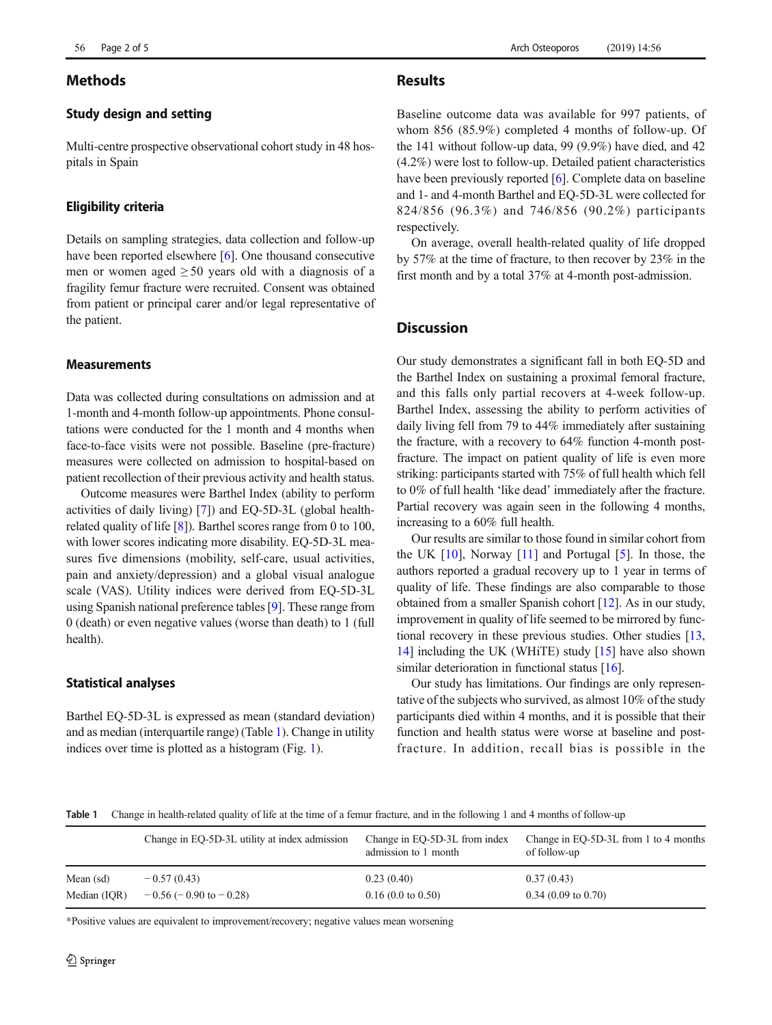# Methods

# Study design and setting

Multi-centre prospective observational cohort study in 48 hospitals in Spain

# Eligibility criteria

Details on sampling strategies, data collection and follow-up have been reported elsewhere [\[6\]](#page-2-0). One thousand consecutive men or women aged  $\geq 50$  years old with a diagnosis of a fragility femur fracture were recruited. Consent was obtained from patient or principal carer and/or legal representative of the patient.

#### Measurements

Data was collected during consultations on admission and at 1-month and 4-month follow-up appointments. Phone consultations were conducted for the 1 month and 4 months when face-to-face visits were not possible. Baseline (pre-fracture) measures were collected on admission to hospital-based on patient recollection of their previous activity and health status.

Outcome measures were Barthel Index (ability to perform activities of daily living) [[7\]](#page-2-0)) and EQ-5D-3L (global healthrelated quality of life [\[8\]](#page-2-0)). Barthel scores range from 0 to 100, with lower scores indicating more disability. EQ-5D-3L measures five dimensions (mobility, self-care, usual activities, pain and anxiety/depression) and a global visual analogue scale (VAS). Utility indices were derived from EQ-5D-3L using Spanish national preference tables [\[9](#page-3-0)]. These range from 0 (death) or even negative values (worse than death) to 1 (full health).

# Statistical analyses

Barthel EQ-5D-3L is expressed as mean (standard deviation) and as median (interquartile range) (Table 1). Change in utility indices over time is plotted as a histogram (Fig. [1](#page-2-0)).

# **Results**

Baseline outcome data was available for 997 patients, of whom 856 (85.9%) completed 4 months of follow-up. Of the 141 without follow-up data, 99 (9.9%) have died, and 42 (4.2%) were lost to follow-up. Detailed patient characteristics have been previously reported [[6\]](#page-2-0). Complete data on baseline and 1- and 4-month Barthel and EQ-5D-3L were collected for 824/856 (96.3%) and 746/856 (90.2%) participants respectively.

On average, overall health-related quality of life dropped by 57% at the time of fracture, to then recover by 23% in the first month and by a total 37% at 4-month post-admission.

# **Discussion**

Our study demonstrates a significant fall in both EQ-5D and the Barthel Index on sustaining a proximal femoral fracture, and this falls only partial recovers at 4-week follow-up. Barthel Index, assessing the ability to perform activities of daily living fell from 79 to 44% immediately after sustaining the fracture, with a recovery to 64% function 4-month postfracture. The impact on patient quality of life is even more striking: participants started with 75% of full health which fell to 0% of full health 'like dead' immediately after the fracture. Partial recovery was again seen in the following 4 months, increasing to a 60% full health.

Our results are similar to those found in similar cohort from the UK [[10\]](#page-3-0), Norway [\[11](#page-3-0)] and Portugal [\[5](#page-2-0)]. In those, the authors reported a gradual recovery up to 1 year in terms of quality of life. These findings are also comparable to those obtained from a smaller Spanish cohort [[12](#page-3-0)]. As in our study, improvement in quality of life seemed to be mirrored by functional recovery in these previous studies. Other studies [\[13,](#page-3-0) [14\]](#page-3-0) including the UK (WHiTE) study [\[15\]](#page-3-0) have also shown similar deterioration in functional status [[16](#page-3-0)].

Our study has limitations. Our findings are only representative of the subjects who survived, as almost 10% of the study participants died within 4 months, and it is possible that their function and health status were worse at baseline and postfracture. In addition, recall bias is possible in the

Table 1 Change in health-related quality of life at the time of a femur fracture, and in the following 1 and 4 months of follow-up

|              | Change in EQ-5D-3L utility at index admission | Change in EQ-5D-3L from index<br>admission to 1 month | Change in EQ-5D-3L from 1 to 4 months<br>of follow-up |
|--------------|-----------------------------------------------|-------------------------------------------------------|-------------------------------------------------------|
| Mean (sd)    | $-0.57(0.43)$                                 | 0.23(0.40)                                            | 0.37(0.43)                                            |
| Median (IOR) | $-0.56$ ( $-0.90$ to $-0.28$ )                | $0.16(0.0 \text{ to } 0.50)$                          | $0.34(0.09 \text{ to } 0.70)$                         |

\*Positive values are equivalent to improvement/recovery; negative values mean worsening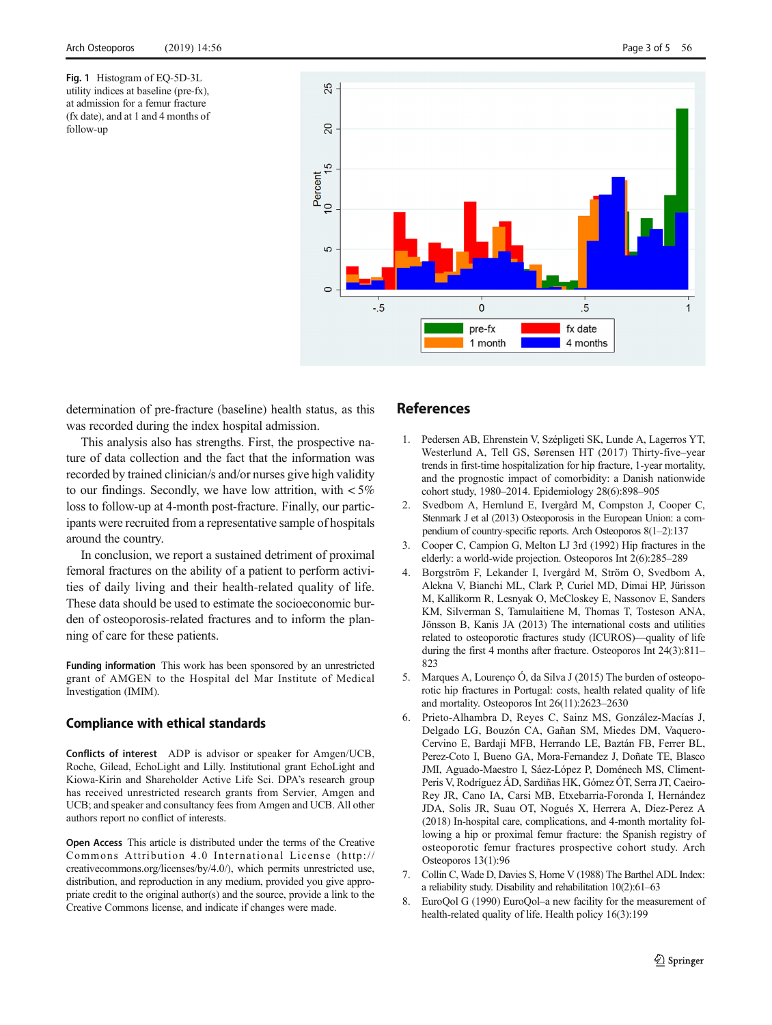<span id="page-2-0"></span>Fig. 1 Histogram of EQ-5D-3L utility indices at baseline (pre-fx), at admission for a femur fracture (fx date), and at 1 and 4 months of follow-up



determination of pre-fracture (baseline) health status, as this was recorded during the index hospital admission.

This analysis also has strengths. First, the prospective nature of data collection and the fact that the information was recorded by trained clinician/s and/or nurses give high validity to our findings. Secondly, we have low attrition, with  $\lt 5\%$ loss to follow-up at 4-month post-fracture. Finally, our participants were recruited from a representative sample of hospitals around the country.

In conclusion, we report a sustained detriment of proximal femoral fractures on the ability of a patient to perform activities of daily living and their health-related quality of life. These data should be used to estimate the socioeconomic burden of osteoporosis-related fractures and to inform the planning of care for these patients.

Funding information This work has been sponsored by an unrestricted grant of AMGEN to the Hospital del Mar Institute of Medical Investigation (IMIM).

### Compliance with ethical standards

Conflicts of interest ADP is advisor or speaker for Amgen/UCB, Roche, Gilead, EchoLight and Lilly. Institutional grant EchoLight and Kiowa-Kirin and Shareholder Active Life Sci. DPA's research group has received unrestricted research grants from Servier, Amgen and UCB; and speaker and consultancy fees from Amgen and UCB. All other authors report no conflict of interests.

Open Access This article is distributed under the terms of the Creative Commons Attribution 4.0 International License (http:// creativecommons.org/licenses/by/4.0/), which permits unrestricted use, distribution, and reproduction in any medium, provided you give appropriate credit to the original author(s) and the source, provide a link to the Creative Commons license, and indicate if changes were made.

## References

- 1. Pedersen AB, Ehrenstein V, Szépligeti SK, Lunde A, Lagerros YT, Westerlund A, Tell GS, Sørensen HT (2017) Thirty-five–year trends in first-time hospitalization for hip fracture, 1-year mortality, and the prognostic impact of comorbidity: a Danish nationwide cohort study, 1980–2014. Epidemiology 28(6):898–905
- 2. Svedbom A, Hernlund E, Ivergård M, Compston J, Cooper C, Stenmark J et al (2013) Osteoporosis in the European Union: a compendium of country-specific reports. Arch Osteoporos 8(1–2):137
- 3. Cooper C, Campion G, Melton LJ 3rd (1992) Hip fractures in the elderly: a world-wide projection. Osteoporos Int 2(6):285–289
- 4. Borgström F, Lekander I, Ivergård M, Ström O, Svedbom A, Alekna V, Bianchi ML, Clark P, Curiel MD, Dimai HP, Jürisson M, Kallikorm R, Lesnyak O, McCloskey E, Nassonov E, Sanders KM, Silverman S, Tamulaitiene M, Thomas T, Tosteson ANA, Jönsson B, Kanis JA (2013) The international costs and utilities related to osteoporotic fractures study (ICUROS)—quality of life during the first 4 months after fracture. Osteoporos Int 24(3):811– 823
- 5. Marques A, Lourenço Ó, da Silva J (2015) The burden of osteoporotic hip fractures in Portugal: costs, health related quality of life and mortality. Osteoporos Int 26(11):2623–2630
- 6. Prieto-Alhambra D, Reyes C, Sainz MS, González-Macías J, Delgado LG, Bouzón CA, Gañan SM, Miedes DM, Vaquero-Cervino E, Bardaji MFB, Herrando LE, Baztán FB, Ferrer BL, Perez-Coto I, Bueno GA, Mora-Fernandez J, Doñate TE, Blasco JMI, Aguado-Maestro I, Sáez-López P, Doménech MS, Climent-Peris V, Rodríguez ÁD, Sardiñas HK, Gómez ÓT, Serra JT, Caeiro-Rey JR, Cano IA, Carsi MB, Etxebarria-Foronda I, Hernández JDA, Solis JR, Suau OT, Nogués X, Herrera A, Díez-Perez A (2018) In-hospital care, complications, and 4-month mortality following a hip or proximal femur fracture: the Spanish registry of osteoporotic femur fractures prospective cohort study. Arch Osteoporos 13(1):96
- 7. Collin C, Wade D, Davies S, Horne V (1988) The Barthel ADL Index: a reliability study. Disability and rehabilitation 10(2):61–63
- 8. EuroQol G (1990) EuroQol–a new facility for the measurement of health-related quality of life. Health policy 16(3):199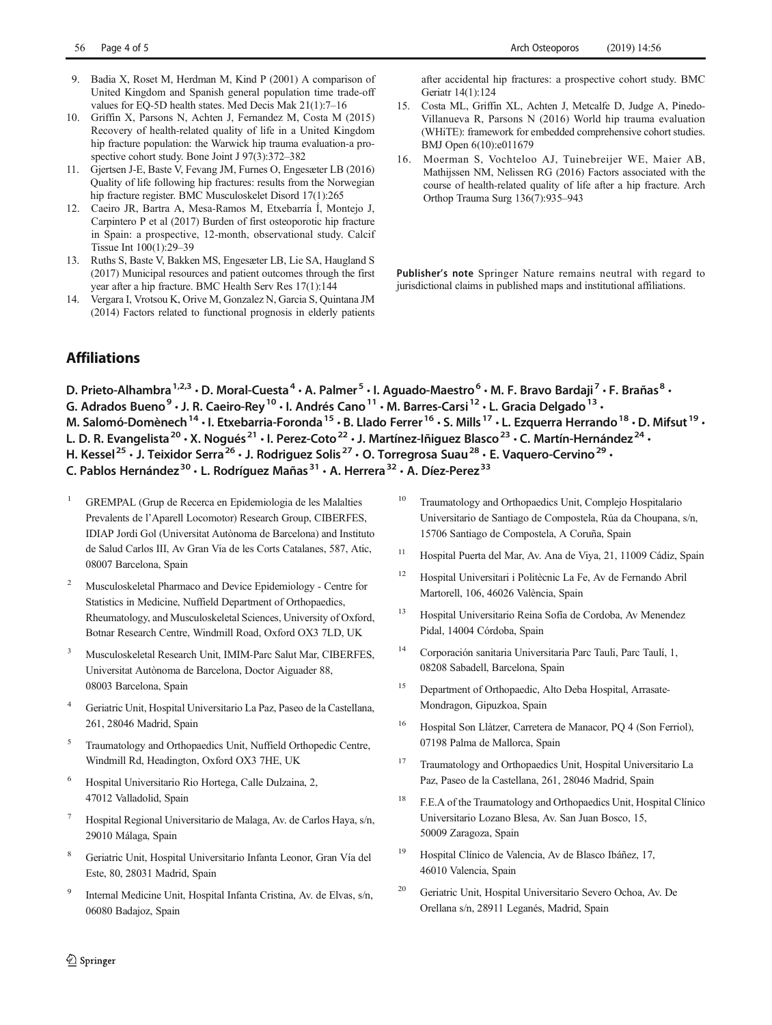- <span id="page-3-0"></span>9. Badia X, Roset M, Herdman M, Kind P (2001) A comparison of United Kingdom and Spanish general population time trade-off values for EQ-5D health states. Med Decis Mak 21(1):7–16
- 10. Griffin X, Parsons N, Achten J, Fernandez M, Costa M (2015) Recovery of health-related quality of life in a United Kingdom hip fracture population: the Warwick hip trauma evaluation-a prospective cohort study. Bone Joint J 97(3):372–382
- 11. Gjertsen J-E, Baste V, Fevang JM, Furnes O, Engesæter LB (2016) Quality of life following hip fractures: results from the Norwegian hip fracture register. BMC Musculoskelet Disord 17(1):265
- 12. Caeiro JR, Bartra A, Mesa-Ramos M, Etxebarría Í, Montejo J, Carpintero P et al (2017) Burden of first osteoporotic hip fracture in Spain: a prospective, 12-month, observational study. Calcif Tissue Int 100(1):29–39
- 13. Ruths S, Baste V, Bakken MS, Engesæter LB, Lie SA, Haugland S (2017) Municipal resources and patient outcomes through the first year after a hip fracture. BMC Health Serv Res 17(1):144
- 14. Vergara I, Vrotsou K, Orive M, Gonzalez N, Garcia S, Quintana JM (2014) Factors related to functional prognosis in elderly patients

after accidental hip fractures: a prospective cohort study. BMC Geriatr 14(1):124

- 15. Costa ML, Griffin XL, Achten J, Metcalfe D, Judge A, Pinedo-Villanueva R, Parsons N (2016) World hip trauma evaluation (WHiTE): framework for embedded comprehensive cohort studies. BMJ Open 6(10):e011679
- 16. Moerman S, Vochteloo AJ, Tuinebreijer WE, Maier AB, Mathijssen NM, Nelissen RG (2016) Factors associated with the course of health-related quality of life after a hip fracture. Arch Orthop Trauma Surg 136(7):935–943

Publisher's note Springer Nature remains neutral with regard to jurisdictional claims in published maps and institutional affiliations.

# Affiliations

D. Prieto-Alhambra<sup>1,2,3</sup> · D. Moral-Cuesta<sup>4</sup> · A. Palmer<sup>5</sup> · I. Aguado-Maestro<sup>6</sup> · M. F. Bravo Bardaji<sup>7</sup> · F. Brañas<sup>8</sup> ·

G. Adrados Bueno<sup>9</sup> • J. R. Caeiro-Rey<sup>10</sup> • I. Andrés Cano<sup>11</sup> • M. Barres-Carsi<sup>12</sup> • L. Gracia Delgado<sup>13</sup> •

M. Salomó-Domènech<sup>14</sup> · I. Etxebarria-Foronda<sup>15</sup> · B. Llado Ferrer<sup>16</sup> · S. Mills <sup>17</sup> · L. Ezquerra Herrando<sup>18</sup> · D. Mifsut<sup>19</sup> ·

L. D. R. Evangelista<sup>20</sup> · X. Nogués<sup>21</sup> · I. Perez-Coto<sup>22</sup> · J. Martínez-Iñiguez Blasco<sup>23</sup> · C. Martín-Hernández<sup>24</sup> ·

H. Kessel<sup>25</sup> • J. Teixidor Serra<sup>26</sup> • J. Rodriguez Solis<sup>27</sup> • O. Torregrosa Suau<sup>28</sup> • E. Vaquero-Cervino<sup>29</sup> •

C. Pablos Hernández<sup>30</sup> · L. Rodríguez Mañas<sup>31</sup> · A. Herrera<sup>32</sup> · A. Díez-Perez<sup>33</sup>

- <sup>1</sup> GREMPAL (Grup de Recerca en Epidemiologia de les Malalties Prevalents de l'Aparell Locomotor) Research Group, CIBERFES, IDIAP Jordi Gol (Universitat Autònoma de Barcelona) and Instituto de Salud Carlos III, Av Gran Via de les Corts Catalanes, 587, Atic, 08007 Barcelona, Spain
- <sup>2</sup> Musculoskeletal Pharmaco and Device Epidemiology Centre for Statistics in Medicine, Nuffield Department of Orthopaedics, Rheumatology, and Musculoskeletal Sciences, University of Oxford, Botnar Research Centre, Windmill Road, Oxford OX3 7LD, UK
- <sup>3</sup> Musculoskeletal Research Unit, IMIM-Parc Salut Mar, CIBERFES, Universitat Autònoma de Barcelona, Doctor Aiguader 88, 08003 Barcelona, Spain
- <sup>4</sup> Geriatric Unit, Hospital Universitario La Paz, Paseo de la Castellana, 261, 28046 Madrid, Spain
- <sup>5</sup> Traumatology and Orthopaedics Unit, Nuffield Orthopedic Centre, Windmill Rd, Headington, Oxford OX3 7HE, UK
- <sup>6</sup> Hospital Universitario Rio Hortega, Calle Dulzaina, 2, 47012 Valladolid, Spain
- <sup>7</sup> Hospital Regional Universitario de Malaga, Av. de Carlos Haya, s/n, 29010 Málaga, Spain
- <sup>8</sup> Geriatric Unit, Hospital Universitario Infanta Leonor, Gran Vía del Este, 80, 28031 Madrid, Spain
- <sup>9</sup> Internal Medicine Unit, Hospital Infanta Cristina, Av. de Elvas, s/n, 06080 Badajoz, Spain
- <sup>10</sup> Traumatology and Orthopaedics Unit, Complejo Hospitalario Universitario de Santiago de Compostela, Rúa da Choupana, s/n, 15706 Santiago de Compostela, A Coruña, Spain
- <sup>11</sup> Hospital Puerta del Mar, Av. Ana de Viya, 21, 11009 Cádiz, Spain
- <sup>12</sup> Hospital Universitari i Politècnic La Fe, Av de Fernando Abril Martorell, 106, 46026 València, Spain
- <sup>13</sup> Hospital Universitario Reina Sofía de Cordoba, Av Menendez Pidal, 14004 Córdoba, Spain
- <sup>14</sup> Corporación sanitaria Universitaria Parc Tauli, Parc Taulí, 1, 08208 Sabadell, Barcelona, Spain
- <sup>15</sup> Department of Orthopaedic, Alto Deba Hospital, Arrasate-Mondragon, Gipuzkoa, Spain
- <sup>16</sup> Hospital Son Llàtzer, Carretera de Manacor, PQ 4 (Son Ferriol), 07198 Palma de Mallorca, Spain
- <sup>17</sup> Traumatology and Orthopaedics Unit, Hospital Universitario La Paz, Paseo de la Castellana, 261, 28046 Madrid, Spain
- <sup>18</sup> F.E.A of the Traumatology and Orthopaedics Unit, Hospital Clínico Universitario Lozano Blesa, Av. San Juan Bosco, 15, 50009 Zaragoza, Spain
- <sup>19</sup> Hospital Clínico de Valencia, Av de Blasco Ibáñez, 17, 46010 Valencia, Spain
- <sup>20</sup> Geriatric Unit, Hospital Universitario Severo Ochoa, Av. De Orellana s/n, 28911 Leganés, Madrid, Spain